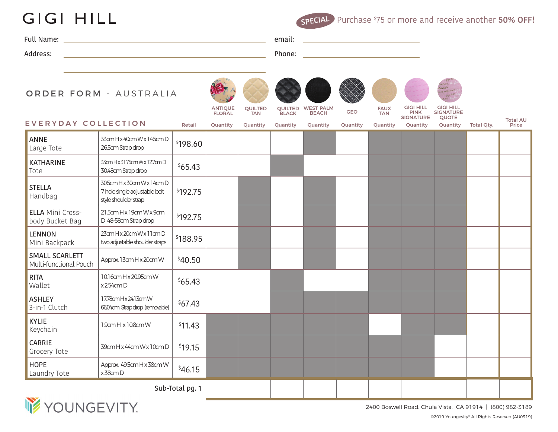## **GIGI HILL**

Purchase \$ 75 or more and receive another **50% OFF! SPECIAL**

| Full Name: | email: |
|------------|--------|
| Address:   | Phone: |
|            |        |

## ORDER FORM - AUSTRALIA





**BLACK** 



BEACH



FAUX TAN



PINK **SIGNATURE** 



GIGI HILL SIGNATURE QUOTE

|        | <b>FLURAL</b> | <b>IAN</b> | <b>DLAYN</b> | <b>DEACH</b> | ____ | <b>IAN</b> | .<br><b>SIGNATURE</b> | $\sim$ $\sim$ $\sim$ $\sim$ $\sim$ $\sim$ $\sim$<br><b>OUOTE</b>          | <b>Total A</b> |
|--------|---------------|------------|--------------|--------------|------|------------|-----------------------|---------------------------------------------------------------------------|----------------|
| Retail | Ouantity      |            |              |              |      |            |                       | Quantity Quantity Quantity Quantity Quantity Quantity Quantity Total Qty. | Price          |

## SIGNATURE QUOTE<br>EVERYDAY COLLECTION Retail Quantity Quantity Quantity Quantity Quantity Quantity Quantity Quantity Quantity Total Qty. Price

| <b>ANNE</b><br>Large Tote                  | 33cm H x 40cm W x 14.5cm D<br>26.5cm Strap drop                                     | \$198.60 |  |  |  |  |  |
|--------------------------------------------|-------------------------------------------------------------------------------------|----------|--|--|--|--|--|
| <b>KATHARINE</b><br>Tote                   | 33cm H x 31.75cm W x 12.7cm D<br>30.48cm Strap drop                                 | \$65.43  |  |  |  |  |  |
| <b>STELLA</b><br>Handbag                   | 30.5cm H x 30cm W x 14cm D<br>7 hole single adjustable belt<br>style shoulder strap | \$192.75 |  |  |  |  |  |
| <b>ELLA Mini Cross-</b><br>body Bucket Bag | 21.5cm H x 19cm W x 9cm<br>D 48-58cm Strap drop                                     | \$192.75 |  |  |  |  |  |
| LENNON<br>Mini Backpack                    | 23cm H x 20cm W x 11cm D<br>two adjustable shoulder straps                          | \$188.95 |  |  |  |  |  |
| SMALL SCARLETT<br>Multi-functional Pouch   | Approx. 13cm H x 20cm W                                                             | \$40.50  |  |  |  |  |  |
| <b>RITA</b><br>Wallet                      | 10.16cm H x 20.95cm W<br>x 254cm D                                                  | \$65.43  |  |  |  |  |  |
| <b>ASHLEY</b><br>3-in-1 Clutch             | 17.78cm H x 24.13cm W<br>66.04cm Strapdrop (removable)                              | \$67.43  |  |  |  |  |  |
| <b>KYLIE</b><br>Keychain                   | 1.9cm H x 10.8cm W                                                                  | \$11.43  |  |  |  |  |  |
| CARRIE<br>Grocery Tote                     | 39cm H x 44cm W x 10cm D                                                            | \$19.15  |  |  |  |  |  |
| <b>HOPE</b><br>Laundry Tote                | Approx. 49.5cm H x 38cm W<br>x 38cm D                                               | \$46.15  |  |  |  |  |  |
| Sub-Total pg. 1                            |                                                                                     |          |  |  |  |  |  |



2400 Boswell Road, Chula Vista, CA 91914 | (800) 982-3189